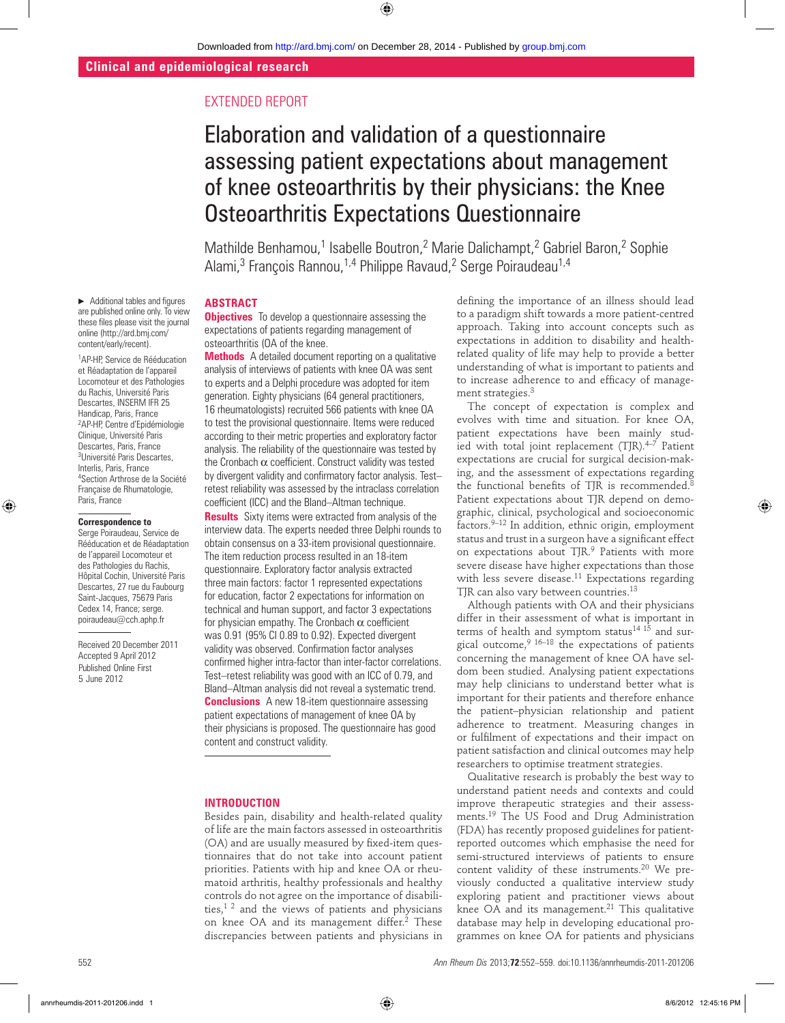# EXTENDED REPORT

# Elaboration and validation of a questionnaire assessing patient expectations about management of knee osteoarthritis by their physicians: the Knee Osteoarthritis Expectations Questionnaire

Mathilde Benhamou,<sup>1</sup> Isabelle Boutron,<sup>2</sup> Marie Dalichampt,<sup>2</sup> Gabriel Baron,<sup>2</sup> Sophie Alami,<sup>3</sup> François Rannou,<sup>1,4</sup> Philippe Ravaud,<sup>2</sup> Serge Poiraudeau<sup>1,4</sup>

# **ABSTRACT**

 $\blacktriangleright$  Additional tables and figures are published online only. To view these files please visit the journal online (http://ard.bmj.com/ content/early/recent).

1 AP-HP, Service de Rééducation et Réadaptation de l'appareil Locomoteur et des Pathologies du Rachis, Université Paris Descartes, INSERM IFR 25 Handicap, Paris, France 2 AP-HP, Centre d'Epidémiologie Clinique, Université Paris Descartes, Paris, France 3 Université Paris Descartes, Interlis, Paris, France 4 Section Arthrose de la Société Française de Rhumatologie,

Paris, France

**Correspondence to** Serge Poiraudeau, Service de Rééducation et de Réadaptation de l'appareil Locomoteur et des Pathologies du Rachis, Hôpital Cochin, Université Paris Descartes, 27 rue du Faubourg Saint-Jacques, 75679 Paris Cedex 14, France; serge. poiraudeau@cch.aphp.fr

Received 20 December 2011 Accepted 9 April 2012

Published Online First 5 June 2012

**Objectives** To develop a questionnaire assessing the expectations of patients regarding management of osteoarthritis (OA of the knee.

**Methods** A detailed document reporting on a qualitative analysis of interviews of patients with knee OA was sent to experts and a Delphi procedure was adopted for item generation. Eighty physicians (64 general practitioners, 16 rheumatologists) recruited 566 patients with knee OA to test the provisional questionnaire. Items were reduced according to their metric properties and exploratory factor analysis. The reliability of the questionnaire was tested by the Cronbach  $\alpha$  coefficient. Construct validity was tested by divergent validity and confirmatory factor analysis. Testretest reliability was assessed by the intraclass correlation coefficient (ICC) and the Bland–Altman technique.

**Results** Sixty items were extracted from analysis of the interview data. The experts needed three Delphi rounds to obtain consensus on a 33-item provisional questionnaire. The item reduction process resulted in an 18-item questionnaire. Exploratory factor analysis extracted three main factors: factor 1 represented expectations for education, factor 2 expectations for information on technical and human support, and factor 3 expectations for physician empathy. The Cronbach  $\alpha$  coefficient was 0.91 (95% CI 0.89 to 0.92). Expected divergent validity was observed. Confirmation factor analyses confirmed higher intra-factor than inter-factor correlations. Test–retest reliability was good with an ICC of 0.79, and Bland–Altman analysis did not reveal a systematic trend. **Conclusions** A new 18-item questionnaire assessing patient expectations of management of knee OA by their physicians is proposed. The questionnaire has good content and construct validity.

#### **INTRODUCTION**

Besides pain, disability and health-related quality of life are the main factors assessed in osteoarthritis (OA) and are usually measured by fixed-item questionnaires that do not take into account patient priorities. Patients with hip and knee OA or rheumatoid arthritis, healthy professionals and healthy controls do not agree on the importance of disabilities, $1<sup>2</sup>$  and the views of patients and physicians on knee OA and its management differ.<sup>2</sup> These discrepancies between patients and physicians in

defining the importance of an illness should lead to a paradigm shift towards a more patient-centred approach. Taking into account concepts such as expectations in addition to disability and healthrelated quality of life may help to provide a better understanding of what is important to patients and to increase adherence to and efficacy of management strategies.<sup>3</sup>

The concept of expectation is complex and evolves with time and situation. For knee OA, patient expectations have been mainly studied with total joint replacement  $(TIR).^{4-7}$  Patient expectations are crucial for surgical decision-making, and the assessment of expectations regarding the functional benefits of TJR is recommended.<sup>8</sup> Patient expectations about TJR depend on demographic, clinical, psychological and socioeconomic factors.9–12 In addition, ethnic origin, employment status and trust in a surgeon have a significant effect on expectations about TJR.9 Patients with more severe disease have higher expectations than those with less severe disease.<sup>11</sup> Expectations regarding TJR can also vary between countries.<sup>13</sup>

Although patients with OA and their physicians differ in their assessment of what is important in terms of health and symptom status<sup>14 15</sup> and surgical outcome,  $9^{16-18}$  the expectations of patients concerning the management of knee OA have seldom been studied. Analysing patient expectations may help clinicians to understand better what is important for their patients and therefore enhance the patient–physician relationship and patient adherence to treatment. Measuring changes in or fulfilment of expectations and their impact on patient satisfaction and clinical outcomes may help researchers to optimise treatment strategies.

Qualitative research is probably the best way to understand patient needs and contexts and could improve therapeutic strategies and their assessments.19 The US Food and Drug Administration (FDA) has recently proposed guidelines for patientreported outcomes which emphasise the need for semi-structured interviews of patients to ensure content validity of these instruments.<sup>20</sup> We previously conducted a qualitative interview study exploring patient and practitioner views about knee OA and its management.<sup>21</sup> This qualitative database may help in developing educational programmes on knee OA for patients and physicians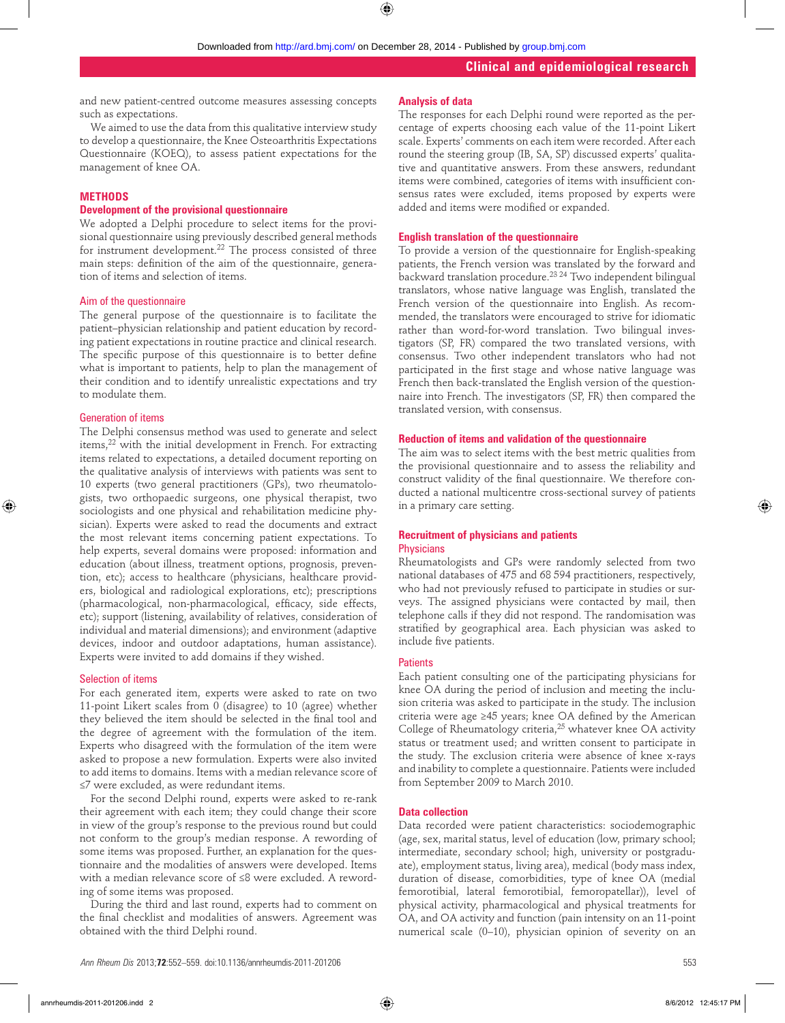and new patient-centred outcome measures assessing concepts such as expectations.

We aimed to use the data from this qualitative interview study to develop a questionnaire, the Knee Osteoarthritis Expectations Questionnaire (KOEQ), to assess patient expectations for the management of knee OA.

#### **METHODS**

#### **Development of the provisional questionnaire**

We adopted a Delphi procedure to select items for the provisional questionnaire using previously described general methods for instrument development.22 The process consisted of three main steps: definition of the aim of the questionnaire, generation of items and selection of items.

#### Aim of the questionnaire

The general purpose of the questionnaire is to facilitate the patient–physician relationship and patient education by recording patient expectations in routine practice and clinical research. The specific purpose of this questionnaire is to better define what is important to patients, help to plan the management of their condition and to identify unrealistic expectations and try to modulate them.

#### Generation of items

The Delphi consensus method was used to generate and select items,<sup>22</sup> with the initial development in French. For extracting items related to expectations, a detailed document reporting on the qualitative analysis of interviews with patients was sent to 10 experts (two general practitioners (GPs), two rheumatologists, two orthopaedic surgeons, one physical therapist, two sociologists and one physical and rehabilitation medicine physician). Experts were asked to read the documents and extract the most relevant items concerning patient expectations. To help experts, several domains were proposed: information and education (about illness, treatment options, prognosis, prevention, etc); access to healthcare (physicians, healthcare providers, biological and radiological explorations, etc); prescriptions (pharmacological, non-pharmacological, efficacy, side effects, etc); support (listening, availability of relatives, consideration of individual and material dimensions); and environment (adaptive devices, indoor and outdoor adaptations, human assistance). Experts were invited to add domains if they wished.

#### Selection of items

For each generated item, experts were asked to rate on two 11-point Likert scales from 0 (disagree) to 10 (agree) whether they believed the item should be selected in the final tool and the degree of agreement with the formulation of the item. Experts who disagreed with the formulation of the item were asked to propose a new formulation. Experts were also invited to add items to domains. Items with a median relevance score of ≤7 were excluded, as were redundant items.

For the second Delphi round, experts were asked to re-rank their agreement with each item; they could change their score in view of the group's response to the previous round but could not conform to the group's median response. A rewording of some items was proposed. Further, an explanation for the questionnaire and the modalities of answers were developed. Items with a median relevance score of ≤8 were excluded. A rewording of some items was proposed.

During the third and last round, experts had to comment on the final checklist and modalities of answers. Agreement was obtained with the third Delphi round.

#### **Analysis of data**

The responses for each Delphi round were reported as the percentage of experts choosing each value of the 11-point Likert scale. Experts' comments on each item were recorded. After each round the steering group (IB, SA, SP) discussed experts' qualitative and quantitative answers. From these answers, redundant items were combined, categories of items with insufficient consensus rates were excluded, items proposed by experts were added and items were modified or expanded.

#### **English translation of the questionnaire**

To provide a version of the questionnaire for English-speaking patients, the French version was translated by the forward and .<br>backward translation procedure.<sup>23 24</sup> Two independent bilingual translators, whose native language was English, translated the French version of the questionnaire into English. As recommended, the translators were encouraged to strive for idiomatic rather than word-for-word translation. Two bilingual investigators (SP, FR) compared the two translated versions, with consensus. Two other independent translators who had not participated in the first stage and whose native language was French then back-translated the English version of the questionnaire into French. The investigators (SP, FR) then compared the translated version, with consensus.

#### **Reduction of items and validation of the questionnaire**

The aim was to select items with the best metric qualities from the provisional questionnaire and to assess the reliability and construct validity of the final questionnaire. We therefore conducted a national multicentre cross-sectional survey of patients in a primary care setting.

# **Recruitment of physicians and patients**

# **Physicians**

Rheumatologists and GPs were randomly selected from two national databases of 475 and 68 594 practitioners, respectively, who had not previously refused to participate in studies or surveys. The assigned physicians were contacted by mail, then telephone calls if they did not respond. The randomisation was stratified by geographical area. Each physician was asked to include five patients.

#### **Patients**

Each patient consulting one of the participating physicians for knee OA during the period of inclusion and meeting the inclusion criteria was asked to participate in the study. The inclusion criteria were age ≥45 years; knee OA defined by the American College of Rheumatology criteria,<sup>25</sup> whatever knee OA activity status or treatment used; and written consent to participate in the study. The exclusion criteria were absence of knee x-rays and inability to complete a questionnaire. Patients were included from September 2009 to March 2010.

#### **Data collection**

Data recorded were patient characteristics: sociodemographic (age, sex, marital status, level of education (low, primary school; intermediate, secondary school; high, university or postgraduate), employment status, living area), medical (body mass index, duration of disease, comorbidities, type of knee OA (medial femorotibial, lateral femorotibial, femoropatellar)), level of physical activity, pharmacological and physical treatments for OA, and OA activity and function (pain intensity on an 11-point numerical scale (0–10), physician opinion of severity on an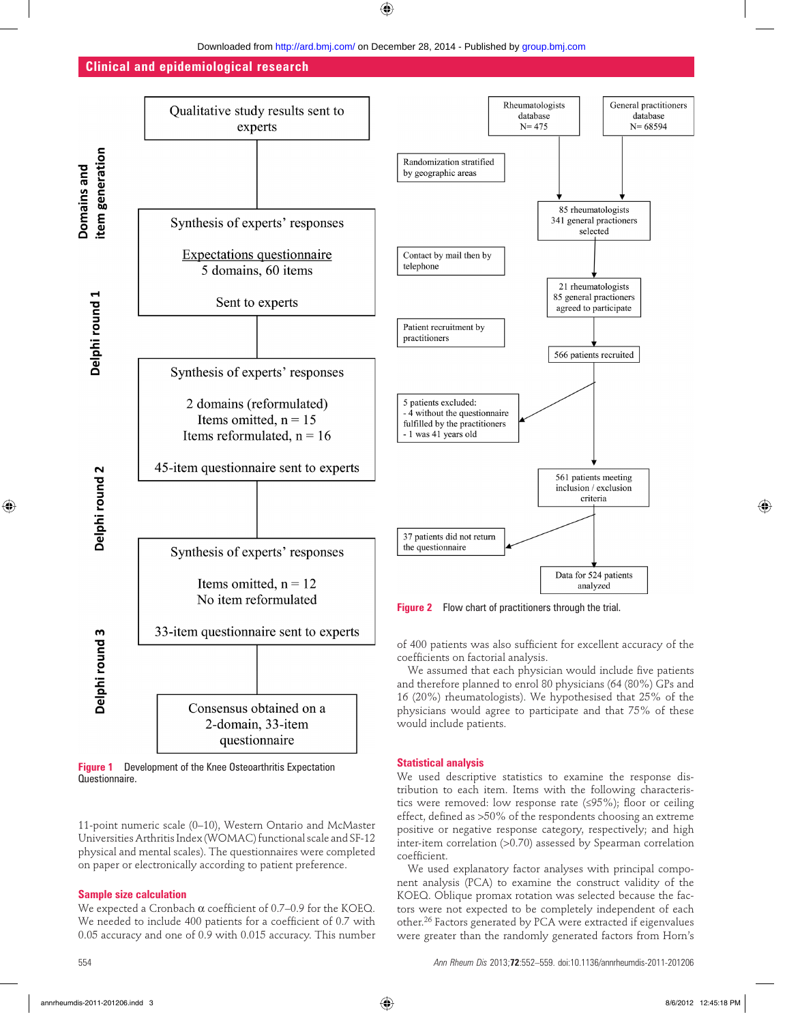

coefficient.

**Figure 1** Development of the Knee Osteoarthritis Expectation Questionnaire.

11-point numeric scale (0–10), Western Ontario and McMaster Universities Arthritis Index (WOMAC) functional scale and SF-12 physical and mental scales). The questionnaires were completed on paper or electronically according to patient preference.

#### **Sample size calculation**

We expected a Cronbach  $\alpha$  coefficient of 0.7–0.9 for the KOEQ. We needed to include 400 patients for a coefficient of 0.7 with 0.05 accuracy and one of 0.9 with 0.015 accuracy. This number

We used descriptive statistics to examine the response distribution to each item. Items with the following characteristics were removed: low response rate  $(\leq 95\%)$ ; floor or ceiling effect, defined as  $>50\%$  of the respondents choosing an extreme positive or negative response category, respectively; and high inter-item correlation (>0.70) assessed by Spearman correlation

We used explanatory factor analyses with principal component analysis (PCA) to examine the construct validity of the KOEQ. Oblique promax rotation was selected because the factors were not expected to be completely independent of each other.<sup>26</sup> Factors generated by PCA were extracted if eigenvalues were greater than the randomly generated factors from Horn's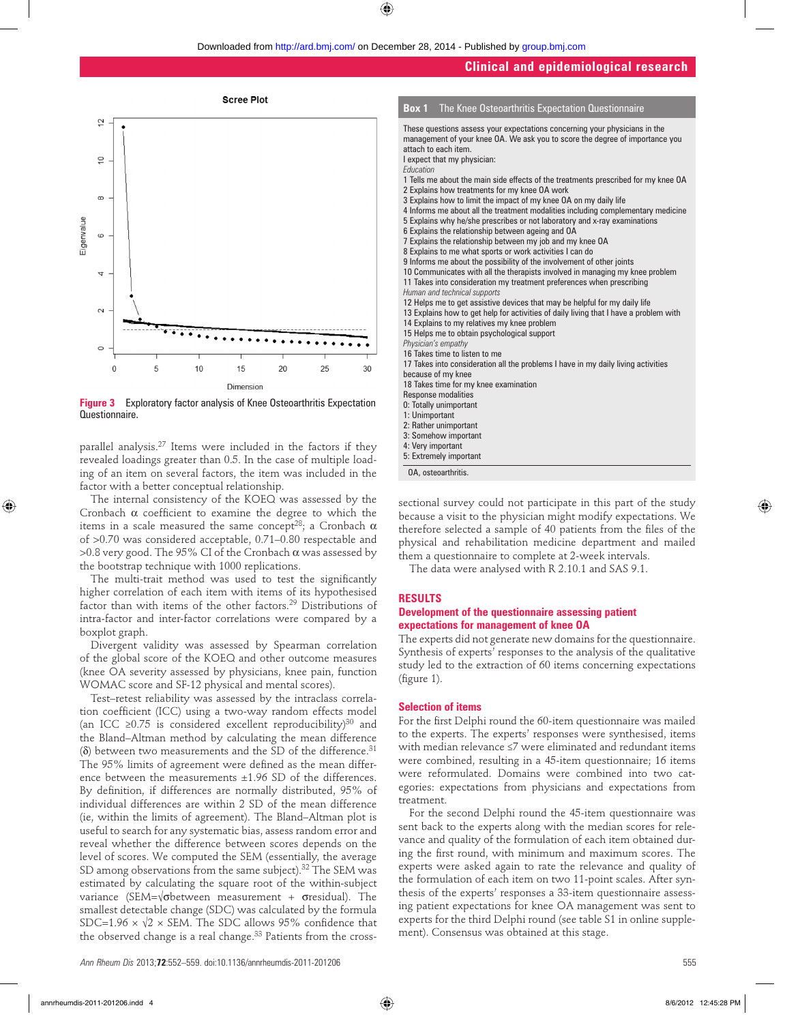

**Figure 3** Exploratory factor analysis of Knee Osteoarthritis Expectation Questionnaire.

parallel analysis.27 Items were included in the factors if they revealed loadings greater than 0.5. In the case of multiple loading of an item on several factors, the item was included in the factor with a better conceptual relationship.

The internal consistency of the KOEQ was assessed by the Cronbach  $\alpha$  coefficient to examine the degree to which the items in a scale measured the same concept<sup>28</sup>; a Cronbach α of >0.70 was considered acceptable, 0.71–0.80 respectable and  $>0.8$  very good. The 95% CI of the Cronbach  $\alpha$  was assessed by the bootstrap technique with 1000 replications.

The multi-trait method was used to test the significantly higher correlation of each item with items of its hypothesised factor than with items of the other factors.29 Distributions of intra-factor and inter-factor correlations were compared by a boxplot graph.

Divergent validity was assessed by Spearman correlation of the global score of the KOEQ and other outcome measures (knee OA severity assessed by physicians, knee pain, function WOMAC score and SF-12 physical and mental scores).

Test–retest reliability was assessed by the intraclass correlation coefficient (ICC) using a two-way random effects model (an ICC ≥0.75 is considered excellent reproducibility)<sup>30</sup> and the Bland–Altman method by calculating the mean difference (δ) between two measurements and the SD of the difference. $31$ The 95% limits of agreement were defined as the mean difference between the measurements ±1.96 SD of the differences. By definition, if differences are normally distributed, 95% of individual differences are within 2 SD of the mean difference (ie, within the limits of agreement). The Bland–Altman plot is useful to search for any systematic bias, assess random error and reveal whether the difference between scores depends on the level of scores. We computed the SEM (essentially, the average SD among observations from the same subject).<sup>32</sup> The SEM was estimated by calculating the square root of the within-subject variance (SEM= $\sqrt{\sigma}$ between measurement +  $\sigma$ residual). The smallest detectable change (SDC) was calculated by the formula SDC=1.96  $\times$   $\sqrt{2}$   $\times$  SEM. The SDC allows 95% confidence that the observed change is a real change.<sup>33</sup> Patients from the cross-



OA, osteoarthritis.

sectional survey could not participate in this part of the study because a visit to the physician might modify expectations. We therefore selected a sample of 40 patients from the files of the physical and rehabilitation medicine department and mailed them a questionnaire to complete at 2-week intervals.

The data were analysed with R 2.10.1 and SAS 9.1.

#### **RESULTS**

#### **Development of the questionnaire assessing patient expectations for management of knee OA**

The experts did not generate new domains for the questionnaire. Synthesis of experts' responses to the analysis of the qualitative study led to the extraction of 60 items concerning expectations (figure  $1$ ).

#### **Selection of items**

For the first Delphi round the 60-item questionnaire was mailed to the experts. The experts' responses were synthesised, items with median relevance ≤7 were eliminated and redundant items were combined, resulting in a 45-item questionnaire; 16 items were reformulated. Domains were combined into two categories: expectations from physicians and expectations from treatment.

For the second Delphi round the 45-item questionnaire was sent back to the experts along with the median scores for relevance and quality of the formulation of each item obtained during the first round, with minimum and maximum scores. The experts were asked again to rate the relevance and quality of the formulation of each item on two 11-point scales. After synthesis of the experts' responses a 33-item questionnaire assessing patient expectations for knee OA management was sent to experts for the third Delphi round (see table S1 in online supplement). Consensus was obtained at this stage.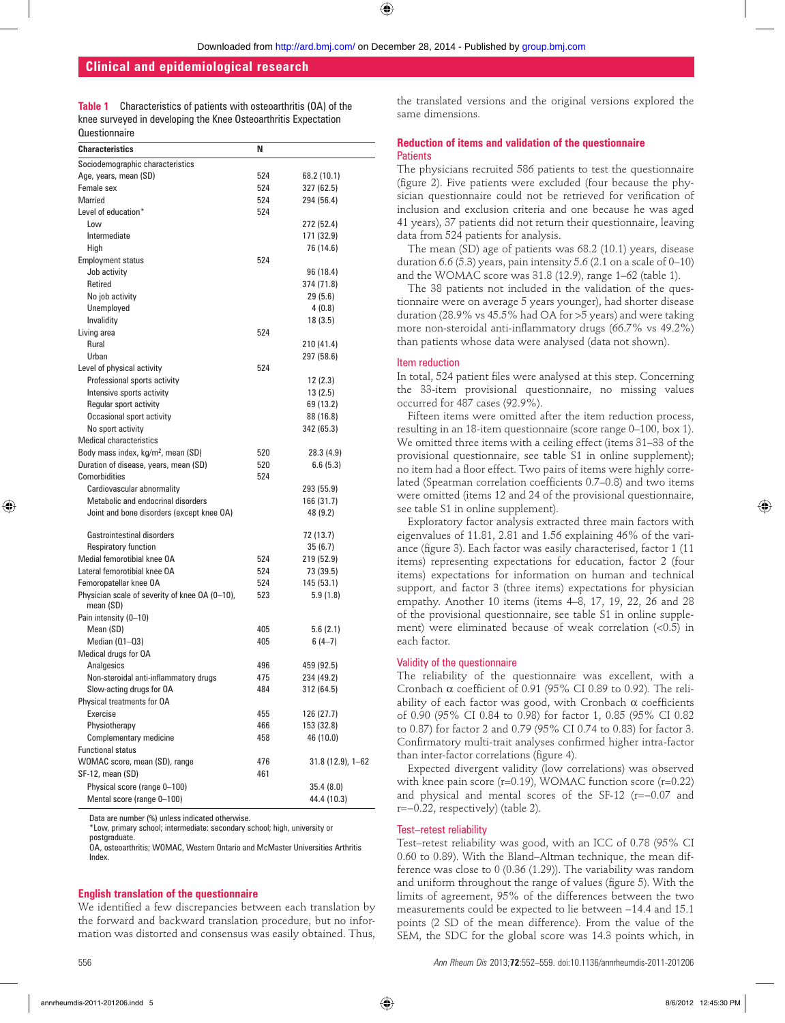**Table 1** Characteristics of patients with osteoarthritis (OA) of the knee surveyed in developing the Knee Osteoarthritis Expectation **Questionnaire** 

| <b>Characteristics</b>                                      | N   |                      |
|-------------------------------------------------------------|-----|----------------------|
| Sociodemographic characteristics                            |     |                      |
| Age, years, mean (SD)                                       | 524 | 68.2 (10.1)          |
| Female sex                                                  | 524 | 327 (62.5)           |
| Married                                                     | 524 | 294 (56.4)           |
| Level of education*                                         | 524 |                      |
| Low                                                         |     | 272 (52.4)           |
| Intermediate                                                |     | 171 (32.9)           |
| High                                                        |     | 76 (14.6)            |
| <b>Employment status</b>                                    | 524 |                      |
| Job activity                                                |     | 96 (18.4)            |
| Retired                                                     |     | 374 (71.8)           |
| No job activity                                             |     | 29 (5.6)             |
| Unemployed                                                  |     | 4(0.8)               |
| Invalidity                                                  |     | 18 (3.5)             |
| Living area                                                 | 524 |                      |
| Rural                                                       |     | 210 (41.4)           |
| Urban                                                       |     | 297 (58.6)           |
| Level of physical activity                                  | 524 |                      |
| Professional sports activity                                |     | 12 (2.3)             |
| Intensive sports activity                                   |     | 13 (2.5)             |
| Regular sport activity                                      |     | 69 (13.2)            |
| Occasional sport activity                                   |     | 88 (16.8)            |
| No sport activity                                           |     | 342 (65.3)           |
| <b>Medical characteristics</b>                              |     |                      |
| Body mass index, kg/m <sup>2</sup> , mean (SD)              | 520 | 28.3 (4.9)           |
| Duration of disease, years, mean (SD)                       | 520 | 6.6(5.3)             |
| Comorbidities                                               | 524 |                      |
| Cardiovascular abnormality                                  |     | 293 (55.9)           |
| Metabolic and endocrinal disorders                          |     | 166 (31.7)           |
| Joint and bone disorders (except knee OA)                   |     | 48 (9.2)             |
| <b>Gastrointestinal disorders</b>                           |     | 72 (13.7)            |
| Respiratory function                                        |     | 35(6.7)              |
| Medial femorotibial knee OA                                 | 524 | 219 (52.9)           |
| Lateral femorotibial knee OA                                | 524 | 73 (39.5)            |
| Femoropatellar knee OA                                      | 524 | 145 (53.1)           |
| Physician scale of severity of knee OA (0-10),<br>mean (SD) | 523 | 5.9(1.8)             |
| Pain intensity (0-10)                                       |     |                      |
| Mean (SD)                                                   | 405 | 5.6(2.1)             |
| Median (01-03)                                              | 405 | $6(4-7)$             |
| Medical drugs for OA                                        |     |                      |
| Analgesics                                                  | 496 | 459 (92.5)           |
| Non-steroidal anti-inflammatory drugs                       | 475 | 234 (49.2)           |
| Slow-acting drugs for OA                                    | 484 | 312 (64.5)           |
| Physical treatments for OA                                  |     |                      |
| Exercise                                                    | 455 | 126 (27.7)           |
| Physiotherapy                                               | 466 | 153 (32.8)           |
| Complementary medicine                                      | 458 | 46 (10.0)            |
| <b>Functional status</b>                                    |     |                      |
| WOMAC score, mean (SD), range                               | 476 | $31.8(12.9), 1 - 62$ |
| SF-12, mean (SD)                                            | 461 |                      |
| Physical score (range 0-100)                                |     | 35.4(8.0)            |
| Mental score (range 0-100)                                  |     | 44.4 (10.3)          |

Data are number (%) unless indicated otherwise.

\*Low, primary school; intermediate: secondary school; high, university or postgraduate.

OA, osteoarthritis; WOMAC, Western Ontario and McMaster Universities Arthritis Index.

#### **English translation of the questionnaire**

We identified a few discrepancies between each translation by the forward and backward translation procedure, but no information was distorted and consensus was easily obtained. Thus,

the translated versions and the original versions explored the same dimensions.

#### **Reduction of items and validation of the questionnaire Patients**

The physicians recruited 586 patients to test the questionnaire (figure 2). Five patients were excluded (four because the physician questionnaire could not be retrieved for verification of inclusion and exclusion criteria and one because he was aged 41 years), 37 patients did not return their questionnaire, leaving data from 524 patients for analysis.

The mean (SD) age of patients was 68.2 (10.1) years, disease duration  $6.6$  (5.3) years, pain intensity  $5.6$  (2.1 on a scale of  $0-10$ ) and the WOMAC score was 31.8 (12.9), range 1–62 (table 1).

The 38 patients not included in the validation of the questionnaire were on average 5 years younger), had shorter disease duration (28.9% vs 45.5% had OA for >5 years) and were taking more non-steroidal anti-inflammatory drugs  $(66.7\% \text{ vs } 49.2\%)$ than patients whose data were analysed (data not shown).

#### Item reduction

In total, 524 patient files were analysed at this step. Concerning the 33-item provisional questionnaire, no missing values occurred for 487 cases (92.9%).

Fifteen items were omitted after the item reduction process, resulting in an 18-item questionnaire (score range 0–100, box 1). We omitted three items with a ceiling effect (items 31–33 of the provisional questionnaire, see table S1 in online supplement); no item had a floor effect. Two pairs of items were highly correlated (Spearman correlation coefficients 0.7–0.8) and two items were omitted (items 12 and 24 of the provisional questionnaire, see table S1 in online supplement).

Exploratory factor analysis extracted three main factors with eigenvalues of 11.81, 2.81 and 1.56 explaining 46% of the variance (figure 3). Each factor was easily characterised, factor 1 (11 items) representing expectations for education, factor 2 (four items) expectations for information on human and technical support, and factor 3 (three items) expectations for physician empathy. Another 10 items (items 4–8, 17, 19, 22, 26 and 28 of the provisional questionnaire, see table S1 in online supplement) were eliminated because of weak correlation (<0.5) in each factor.

#### Validity of the questionnaire

The reliability of the questionnaire was excellent, with a Cronbach α coefficient of 0.91 (95% CI 0.89 to 0.92). The reliability of each factor was good, with Cronbach  $\alpha$  coefficients of 0.90 (95% CI 0.84 to 0.98) for factor 1, 0.85 (95% CI 0.82 to 0.87) for factor 2 and 0.79 (95% CI 0.74 to 0.83) for factor 3. Confirmatory multi-trait analyses confirmed higher intra-factor than inter-factor correlations (figure 4).

Expected divergent validity (low correlations) was observed with knee pain score  $(r=0.19)$ , WOMAC function score  $(r=0.22)$ and physical and mental scores of the SF-12 (r=−0.07 and r=−0.22, respectively) (table 2).

#### Test–retest reliability

Test–retest reliability was good, with an ICC of 0.78 (95% CI 0.60 to 0.89). With the Bland–Altman technique, the mean difference was close to 0 (0.36 (1.29)). The variability was random and uniform throughout the range of values (figure 5). With the limits of agreement, 95% of the differences between the two measurements could be expected to lie between −14.4 and 15.1 points (2 SD of the mean difference). From the value of the SEM, the SDC for the global score was 14.3 points which, in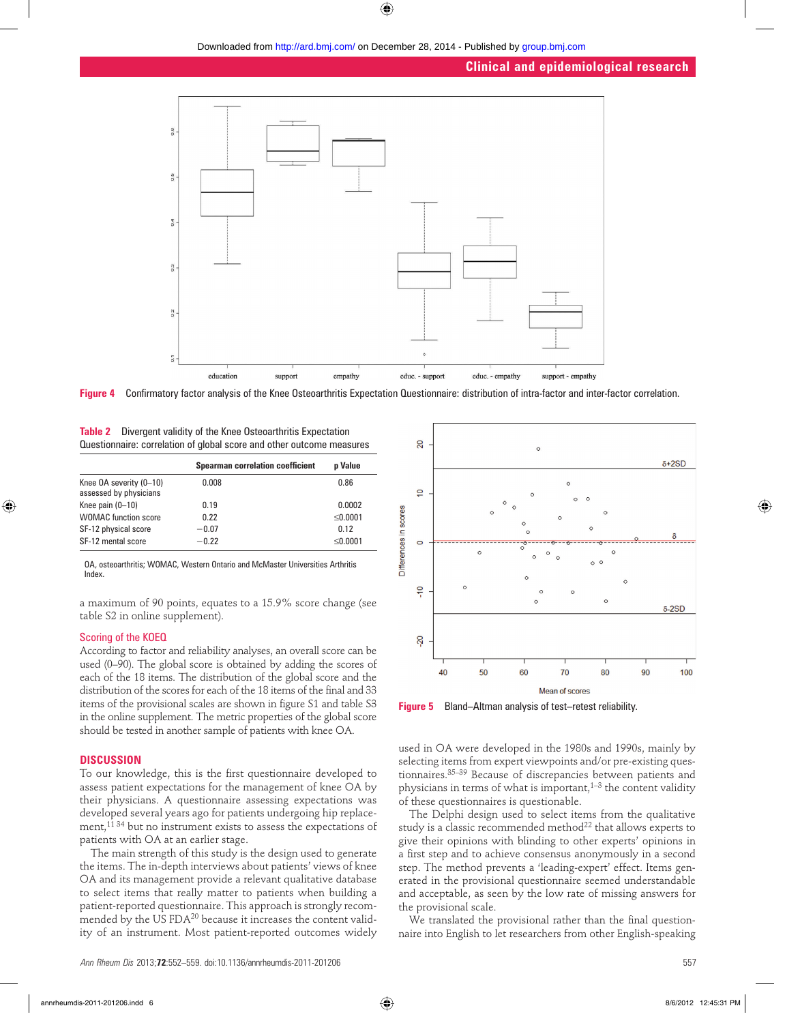

**Figure 4** Confirmatory factor analysis of the Knee Osteoarthritis Expectation Questionnaire: distribution of intra-factor and inter-factor correlation.

| <b>Table 2</b> Divergent validity of the Knee Osteoarthritis Expectation |
|--------------------------------------------------------------------------|
| Questionnaire: correlation of global score and other outcome measures    |

|                                                   | <b>Spearman correlation coefficient</b> | <b>p</b> Value |
|---------------------------------------------------|-----------------------------------------|----------------|
| Knee OA severity (0-10)<br>assessed by physicians | 0.008                                   | 0.86           |
| Knee pain $(0-10)$                                | 0.19                                    | 0.0002         |
| <b>WOMAC</b> function score                       | 0.22                                    | < 0.0001       |
| SF-12 physical score                              | $-0.07$                                 | 0.12           |
| SF-12 mental score                                | $-0.22$                                 | $\leq 0.0001$  |

OA, osteoarthritis; WOMAC, Western Ontario and McMaster Universities Arthritis Index.

a maximum of 90 points, equates to a 15.9% score change (see table S2 in online supplement).

#### Scoring of the KOEQ

According to factor and reliability analyses, an overall score can be used (0–90). The global score is obtained by adding the scores of each of the 18 items. The distribution of the global score and the distribution of the scores for each of the 18 items of the final and 33 items of the provisional scales are shown in figure S1 and table S3 in the online supplement. The metric properties of the global score should be tested in another sample of patients with knee OA.

#### **DISCUSSION**

To our knowledge, this is the first questionnaire developed to assess patient expectations for the management of knee OA by their physicians. A questionnaire assessing expectations was developed several years ago for patients undergoing hip replacement,11 34 but no instrument exists to assess the expectations of patients with OA at an earlier stage.

The main strength of this study is the design used to generate the items. The in-depth interviews about patients' views of knee OA and its management provide a relevant qualitative database to select items that really matter to patients when building a patient-reported questionnaire. This approach is strongly recommended by the US FDA<sup>20</sup> because it increases the content validity of an instrument. Most patient-reported outcomes widely



**Figure 5** Bland–Altman analysis of test–retest reliability.

used in OA were developed in the 1980s and 1990s, mainly by selecting items from expert viewpoints and/or pre-existing questionnaires.35–39 Because of discrepancies between patients and physicians in terms of what is important, $1-3$  the content validity of these questionnaires is questionable.

The Delphi design used to select items from the qualitative study is a classic recommended method<sup>22</sup> that allows experts to give their opinions with blinding to other experts' opinions in a first step and to achieve consensus anonymously in a second step. The method prevents a 'leading-expert' effect. Items generated in the provisional questionnaire seemed understandable and acceptable, as seen by the low rate of missing answers for the provisional scale.

We translated the provisional rather than the final questionnaire into English to let researchers from other English-speaking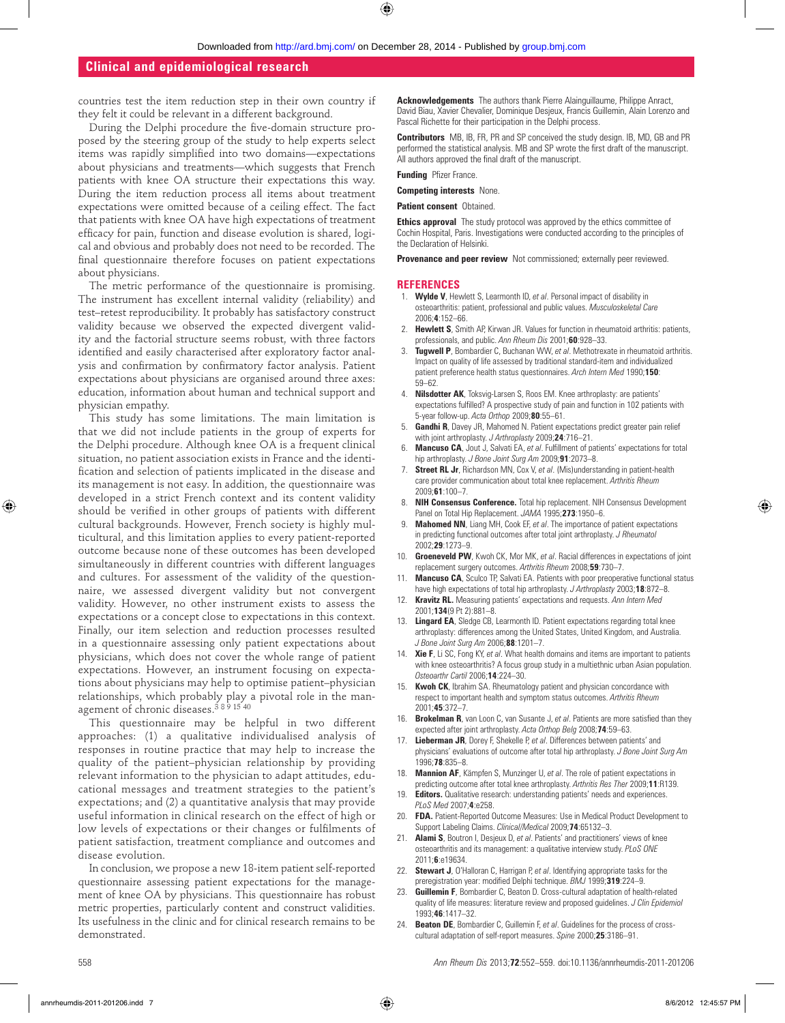countries test the item reduction step in their own country if they felt it could be relevant in a different background.

During the Delphi procedure the five-domain structure proposed by the steering group of the study to help experts select items was rapidly simplified into two domains—expectations about physicians and treatments—which suggests that French patients with knee OA structure their expectations this way. During the item reduction process all items about treatment expectations were omitted because of a ceiling effect. The fact that patients with knee OA have high expectations of treatment efficacy for pain, function and disease evolution is shared, logical and obvious and probably does not need to be recorded. The final questionnaire therefore focuses on patient expectations about physicians.

The metric performance of the questionnaire is promising. The instrument has excellent internal validity (reliability) and test–retest reproducibility. It probably has satisfactory construct validity because we observed the expected divergent validity and the factorial structure seems robust, with three factors identified and easily characterised after exploratory factor analysis and confirmation by confirmatory factor analysis. Patient expectations about physicians are organised around three axes: education, information about human and technical support and physician empathy.

This study has some limitations. The main limitation is that we did not include patients in the group of experts for the Delphi procedure. Although knee OA is a frequent clinical situation, no patient association exists in France and the identification and selection of patients implicated in the disease and its management is not easy. In addition, the questionnaire was developed in a strict French context and its content validity should be verified in other groups of patients with different cultural backgrounds. However, French society is highly multicultural, and this limitation applies to every patient-reported outcome because none of these outcomes has been developed simultaneously in different countries with different languages and cultures. For assessment of the validity of the questionnaire, we assessed divergent validity but not convergent validity. However, no other instrument exists to assess the expectations or a concept close to expectations in this context. Finally, our item selection and reduction processes resulted in a questionnaire assessing only patient expectations about physicians, which does not cover the whole range of patient expectations. However, an instrument focusing on expectations about physicians may help to optimise patient–physician relationships, which probably play a pivotal role in the management of chronic diseases.3 8 9 15 40

This questionnaire may be helpful in two different approaches: (1) a qualitative individualised analysis of responses in routine practice that may help to increase the quality of the patient–physician relationship by providing relevant information to the physician to adapt attitudes, educational messages and treatment strategies to the patient's expectations; and (2) a quantitative analysis that may provide useful information in clinical research on the effect of high or low levels of expectations or their changes or fulfilments of patient satisfaction, treatment compliance and outcomes and disease evolution.

In conclusion, we propose a new 18-item patient self-reported questionnaire assessing patient expectations for the management of knee OA by physicians. This questionnaire has robust metric properties, particularly content and construct validities. Its usefulness in the clinic and for clinical research remains to be demonstrated.

**Acknowledgements** The authors thank Pierre Alainguillaume, Philippe Anract, David Biau, Xavier Chevalier, Dominique Desjeux, Francis Guillemin, Alain Lorenzo and Pascal Richette for their participation in the Delphi process.

**Contributors** MB, IB, FR, PR and SP conceived the study design. IB, MD, GB and PR performed the statistical analysis. MB and SP wrote the first draft of the manuscript. All authors approved the final draft of the manuscript.

**Funding** Pfizer France.

**Competing interests** None.

#### **Patient consent** Obtained.

**Ethics approval** The study protocol was approved by the ethics committee of Cochin Hospital, Paris. Investigations were conducted according to the principles of the Declaration of Helsinki.

**Provenance and peer review** Not commissioned; externally peer reviewed.

#### **REFERENCES**

- 1. **Wylde V**, Hewlett S, Learmonth ID, *et al*. Personal impact of disability in osteoarthritis: patient, professional and public values. *Musculoskeletal Care* 2006;**4**:152–66.
- 2. **Hewlett S**, Smith AP, Kirwan JR. Values for function in rheumatoid arthritis: patients, professionals, and public. *Ann Rheum Dis* 2001;**60**:928–33.
- 3. **Tugwell P**, Bombardier C, Buchanan WW, *et al*. Methotrexate in rheumatoid arthritis. Impact on quality of life assessed by traditional standard-item and individualized patient preference health status questionnaires. *Arch Intern Med* 1990;**150**: 59–62.
- 4. **Nilsdotter AK**, Toksvig-Larsen S, Roos EM. Knee arthroplasty: are patients' expectations fulfilled? A prospective study of pain and function in 102 patients with 5-year follow-up. *Acta Orthop* 2009;**80**:55–61.
- 5. **Gandhi R**, Davey JR, Mahomed N. Patient expectations predict greater pain relief with joint arthroplasty. *J Arthroplasty* 2009;**24**:716–21.
- **Mancuso CA**, Jout J, Salvati EA, et al. Fulfillment of patients' expectations for total hip arthroplasty. *J Bone Joint Surg Am* 2009;**91**:2073–8.
- **Street RL Jr**, Richardson MN, Cox V, et al. (Mis)understanding in patient-health care provider communication about total knee replacement. *Arthritis Rheum* 2009;**61**:100–7.
- 8. **NIH Consensus Conference.** Total hip replacement. NIH Consensus Development Panel on Total Hip Replacement. *JAMA* 1995;**273**:1950–6.
- **Mahomed NN**, Liang MH, Cook EF, et al. The importance of patient expectations in predicting functional outcomes after total joint arthroplasty. *J Rheumatol* 2002;**29**:1273–9.
- 10. **Groeneveld PW**, Kwoh CK, Mor MK, *et al*. Racial differences in expectations of joint replacement surgery outcomes. *Arthritis Rheum* 2008;**59**:730–7.
- **Mancuso CA**, Sculco TP, Salvati EA. Patients with poor preoperative functional status have high expectations of total hip arthroplasty. *J Arthroplasty* 2003;**18**:872–8.
- **Kravitz RL.** Measuring patients' expectations and requests. Ann Intern Med 2001;**134**(9 Pt 2):881–8.
- 13. **Lingard EA**, Sledge CB, Learmonth ID. Patient expectations regarding total knee arthroplasty: differences among the United States, United Kingdom, and Australia. *J Bone Joint Surg Am* 2006;**88**:1201–7.
- 14. **Xie F**, Li SC, Fong KY, *et al*. What health domains and items are important to patients with knee osteoarthritis? A focus group study in a multiethnic urban Asian population. *Osteoarthr Cartil* 2006;**14**:224–30.
- **Kwoh CK**, Ibrahim SA. Rheumatology patient and physician concordance with respect to important health and symptom status outcomes. *Arthritis Rheum* 2001;**45**:372–7.
- 16. **Brokelman R**, van Loon C, van Susante J, et al. Patients are more satisfied than they expected after joint arthroplasty. *Acta Orthop Belg* 2008;**74**:59–63.
- 17. **Lieberman JR**, Dorey F, Shekelle P, *et al*. Differences between patients' and physicians' evaluations of outcome after total hip arthroplasty. *J Bone Joint Surg Am* 1996;**78**:835–8.
- 18. **Mannion AF**, Kämpfen S, Munzinger U, *et al*. The role of patient expectations in predicting outcome after total knee arthroplasty. *Arthritis Res Ther* 2009;**11**:R139.
- 19. **Editors.** Qualitative research: understanding patients' needs and experiences. *PLoS Med* 2007;**4**:e258.
- FDA. Patient-Reported Outcome Measures: Use in Medical Product Development to Support Labeling Claims. *Clinical/Medical* 2009;**74**:65132–3.
- 21. **Alami S**, Boutron I, Desjeux D, *et al*. Patients' and practitioners' views of knee osteoarthritis and its management: a qualitative interview study. *PLoS ONE* 2011;**6**:e19634.
- 22. **Stewart J**, O'Halloran C, Harrigan P, *et al*. Identifying appropriate tasks for the preregistration year: modified Delphi technique. *BMJ* 1999;319:224-9.
- **Guillemin F**, Bombardier C, Beaton D. Cross-cultural adaptation of health-related quality of life measures: literature review and proposed guidelines. *J Clin Epidemiol* 1993;**46**:1417–32.
- 24. **Beaton DE**, Bombardier C, Guillemin F, *et al*. Guidelines for the process of crosscultural adaptation of self-report measures. *Spine* 2000;**25**:3186–91.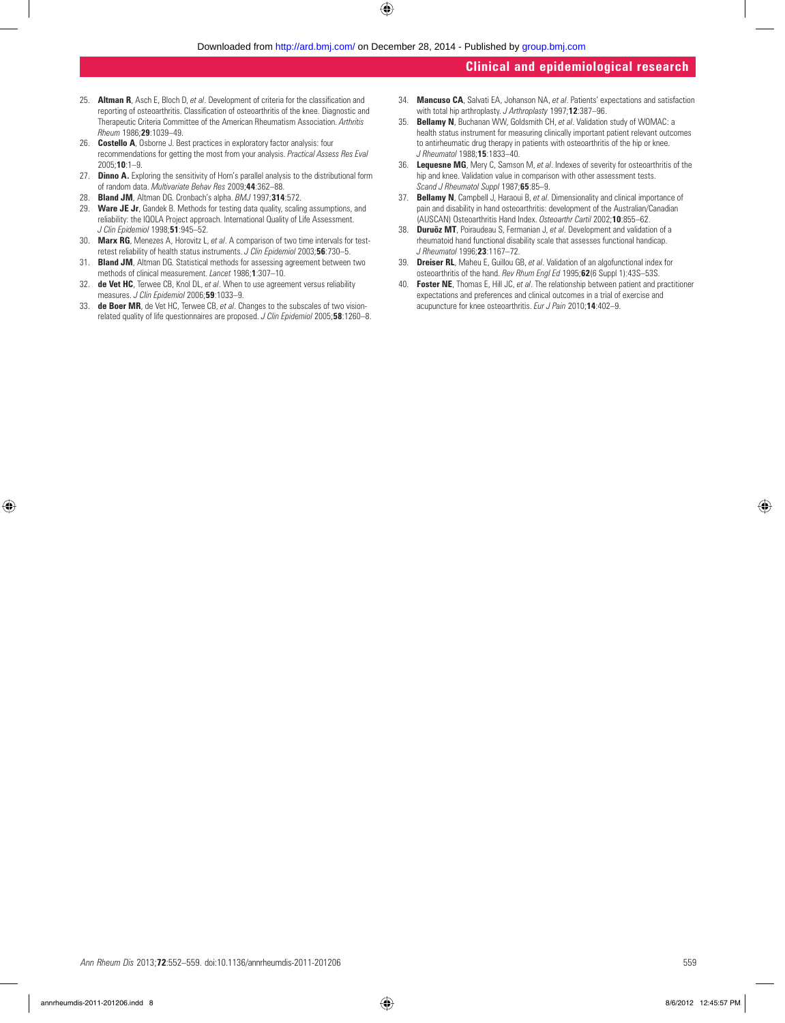- 25. **Altman R**, Asch E, Bloch D, et al. Development of criteria for the classification and reporting of osteoarthritis. Classification of osteoarthritis of the knee. Diagnostic and Therapeutic Criteria Committee of the American Rheumatism Association. *Arthritis Rheum* 1986;**29**:1039–49.
- 26. **Costello A**, Osborne J. Best practices in exploratory factor analysis: four recommendations for getting the most from your analysis. *Practical Assess Res Eval* 2005;**10**:1–9.
- 27. **Dinno A.** Exploring the sensitivity of Horn's parallel analysis to the distributional form of random data. *Multivariate Behav Res* 2009;**44**:362–88.
- 28. **Bland JM**, Altman DG. Cronbach's alpha. *BMJ* 1997;**314**:572.
- 29. **Ware JE Jr**, Gandek B. Methods for testing data quality, scaling assumptions, and reliability: the IQOLA Project approach. International Quality of Life Assessment. *J Clin Epidemiol* 1998;**51**:945–52.
- 30. **Marx RG**, Menezes A, Horovitz L, *et al*. A comparison of two time intervals for testretest reliability of health status instruments. *J Clin Epidemiol* 2003;**56**:730–5.
- 31. **Bland JM**, Altman DG. Statistical methods for assessing agreement between two methods of clinical measurement. *Lancet* 1986;**1**:307–10.
- 32. **de Vet HC**, Terwee CB, Knol DL, *et al*. When to use agreement versus reliability measures. *J Clin Epidemiol* 2006;**59**:1033–9.
- 33. **de Boer MR**, de Vet HC, Terwee CB, *et al*. Changes to the subscales of two visionrelated quality of life questionnaires are proposed. *J Clin Epidemiol* 2005;**58**:1260–8.
- 34. **Mancuso CA**, Salvati EA, Johanson NA, *et al*. Patients' expectations and satisfaction with total hip arthroplasty. *J Arthroplasty* 1997;**12**:387–96.
- 35. **Bellamy N**, Buchanan WW, Goldsmith CH, *et al*. Validation study of WOMAC: a health status instrument for measuring clinically important patient relevant outcomes to antirheumatic drug therapy in patients with osteoarthritis of the hip or knee. *J Rheumatol* 1988;**15**:1833–40.
- 36. **Lequesne MG**, Mery C, Samson M, *et al*. Indexes of severity for osteoarthritis of the hip and knee. Validation value in comparison with other assessment tests. *Scand J Rheumatol Suppl* 1987;**65**:85–9.
- 37. **Bellamy N**, Campbell J, Haraoui B, *et al*. Dimensionality and clinical importance of pain and disability in hand osteoarthritis: development of the Australian/Canadian (AUSCAN) Osteoarthritis Hand Index. *Osteoarthr Cartil* 2002;**10**:855–62.
- 38. **Duruöz MT**, Poiraudeau S, Fermanian J, *et al*. Development and validation of a rheumatoid hand functional disability scale that assesses functional handicap. *J Rheumatol* 1996;**23**:1167–72.
- 39. **Dreiser RL**, Maheu E, Guillou GB, *et al*. Validation of an algofunctional index for osteoarthritis of the hand. *Rev Rhum Engl Ed* 1995;**62**(6 Suppl 1):43S–53S.
- 40. **Foster NE**, Thomas E, Hill JC, *et al*. The relationship between patient and practitioner expectations and preferences and clinical outcomes in a trial of exercise and acupuncture for knee osteoarthritis. *Eur J Pain* 2010;**14**:402–9.